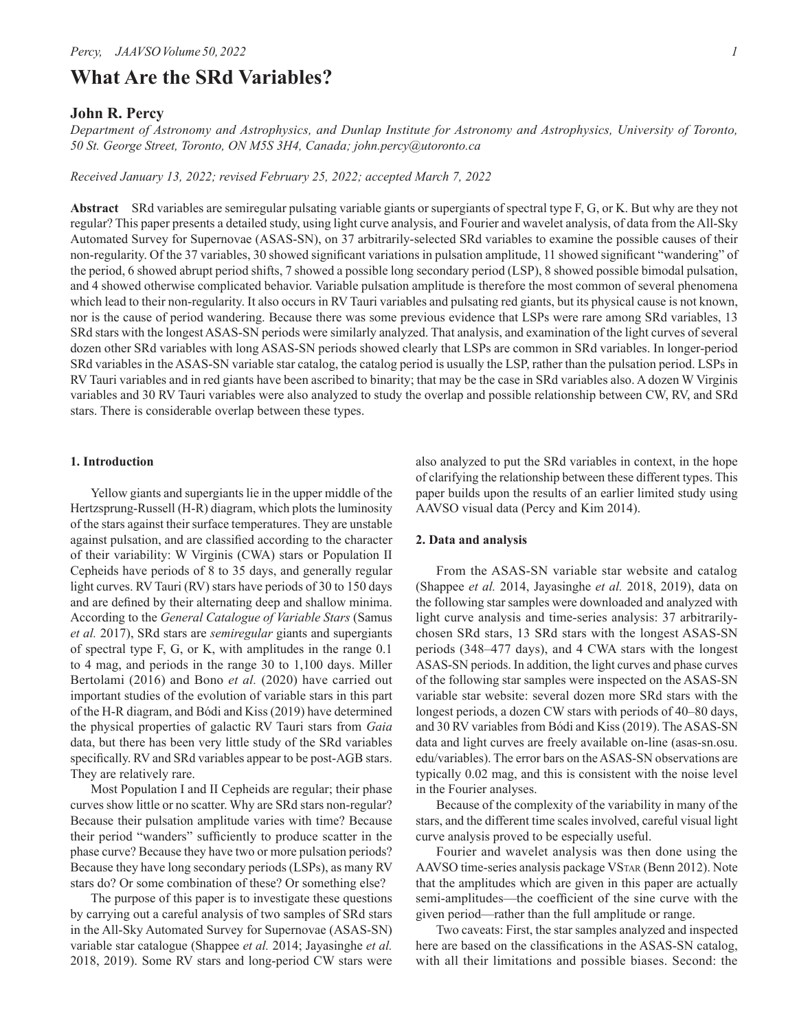# **What Are the SRd Variables?**

### **John R. Percy**

*Department of Astronomy and Astrophysics, and Dunlap Institute for Astronomy and Astrophysics, University of Toronto, 50 St. George Street, Toronto, ON M5S 3H4, Canada; john.percy@utoronto.ca*

*Received January 13, 2022; revised February 25, 2022; accepted March 7, 2022*

**Abstract** SRd variables are semiregular pulsating variable giants or supergiants of spectral type F, G, or K. But why are they not regular? This paper presents a detailed study, using light curve analysis, and Fourier and wavelet analysis, of data from the All-Sky Automated Survey for Supernovae (ASAS-SN), on 37 arbitrarily-selected SRd variables to examine the possible causes of their non-regularity. Of the 37 variables, 30 showed significant variations in pulsation amplitude, 11 showed significant "wandering" of the period, 6 showed abrupt period shifts, 7 showed a possible long secondary period (LSP), 8 showed possible bimodal pulsation, and 4 showed otherwise complicated behavior. Variable pulsation amplitude is therefore the most common of several phenomena which lead to their non-regularity. It also occurs in RV Tauri variables and pulsating red giants, but its physical cause is not known, nor is the cause of period wandering. Because there was some previous evidence that LSPs were rare among SRd variables, 13 SRd stars with the longest ASAS-SN periods were similarly analyzed. That analysis, and examination of the light curves of several dozen other SRd variables with long ASAS-SN periods showed clearly that LSPs are common in SRd variables. In longer-period SRd variables in the ASAS-SN variable star catalog, the catalog period is usually the LSP, rather than the pulsation period. LSPs in RV Tauri variables and in red giants have been ascribed to binarity; that may be the case in SRd variables also. A dozen W Virginis variables and 30 RV Tauri variables were also analyzed to study the overlap and possible relationship between CW, RV, and SRd stars. There is considerable overlap between these types.

### **1. Introduction**

Yellow giants and supergiants lie in the upper middle of the Hertzsprung-Russell (H-R) diagram, which plots the luminosity of the stars against their surface temperatures. They are unstable against pulsation, and are classified according to the character of their variability: W Virginis (CWA) stars or Population II Cepheids have periods of 8 to 35 days, and generally regular light curves. RV Tauri (RV) stars have periods of 30 to 150 days and are defined by their alternating deep and shallow minima. According to the *General Catalogue of Variable Stars* (Samus *et al.* 2017), SRd stars are *semiregular* giants and supergiants of spectral type F, G, or K, with amplitudes in the range 0.1 to 4 mag, and periods in the range 30 to 1,100 days. Miller Bertolami (2016) and Bono *et al.* (2020) have carried out important studies of the evolution of variable stars in this part of the H-R diagram, and Bódi and Kiss (2019) have determined the physical properties of galactic RV Tauri stars from *Gaia* data, but there has been very little study of the SRd variables specifically. RV and SRd variables appear to be post-AGB stars. They are relatively rare.

Most Population I and II Cepheids are regular; their phase curves show little or no scatter. Why are SRd stars non-regular? Because their pulsation amplitude varies with time? Because their period "wanders" sufficiently to produce scatter in the phase curve? Because they have two or more pulsation periods? Because they have long secondary periods (LSPs), as many RV stars do? Or some combination of these? Or something else?

The purpose of this paper is to investigate these questions by carrying out a careful analysis of two samples of SRd stars in the All-Sky Automated Survey for Supernovae (ASAS-SN) variable star catalogue (Shappee *et al.* 2014; Jayasinghe *et al.* 2018, 2019). Some RV stars and long-period CW stars were

also analyzed to put the SRd variables in context, in the hope of clarifying the relationship between these different types. This paper builds upon the results of an earlier limited study using AAVSO visual data (Percy and Kim 2014).

### **2. Data and analysis**

From the ASAS-SN variable star website and catalog (Shappee *et al.* 2014, Jayasinghe *et al.* 2018, 2019), data on the following star samples were downloaded and analyzed with light curve analysis and time-series analysis: 37 arbitrarilychosen SRd stars, 13 SRd stars with the longest ASAS-SN periods (348–477 days), and 4 CWA stars with the longest ASAS-SN periods. In addition, the light curves and phase curves of the following star samples were inspected on the ASAS-SN variable star website: several dozen more SRd stars with the longest periods, a dozen CW stars with periods of 40–80 days, and 30 RV variables from Bódi and Kiss (2019). The ASAS-SN data and light curves are freely available on-line (asas-sn.osu. edu/variables). The error bars on the ASAS-SN observations are typically 0.02 mag, and this is consistent with the noise level in the Fourier analyses.

Because of the complexity of the variability in many of the stars, and the different time scales involved, careful visual light curve analysis proved to be especially useful.

Fourier and wavelet analysis was then done using the AAVSO time-series analysis package VStar (Benn 2012). Note that the amplitudes which are given in this paper are actually semi-amplitudes—the coefficient of the sine curve with the given period—rather than the full amplitude or range.

Two caveats: First, the star samples analyzed and inspected here are based on the classifications in the ASAS-SN catalog, with all their limitations and possible biases. Second: the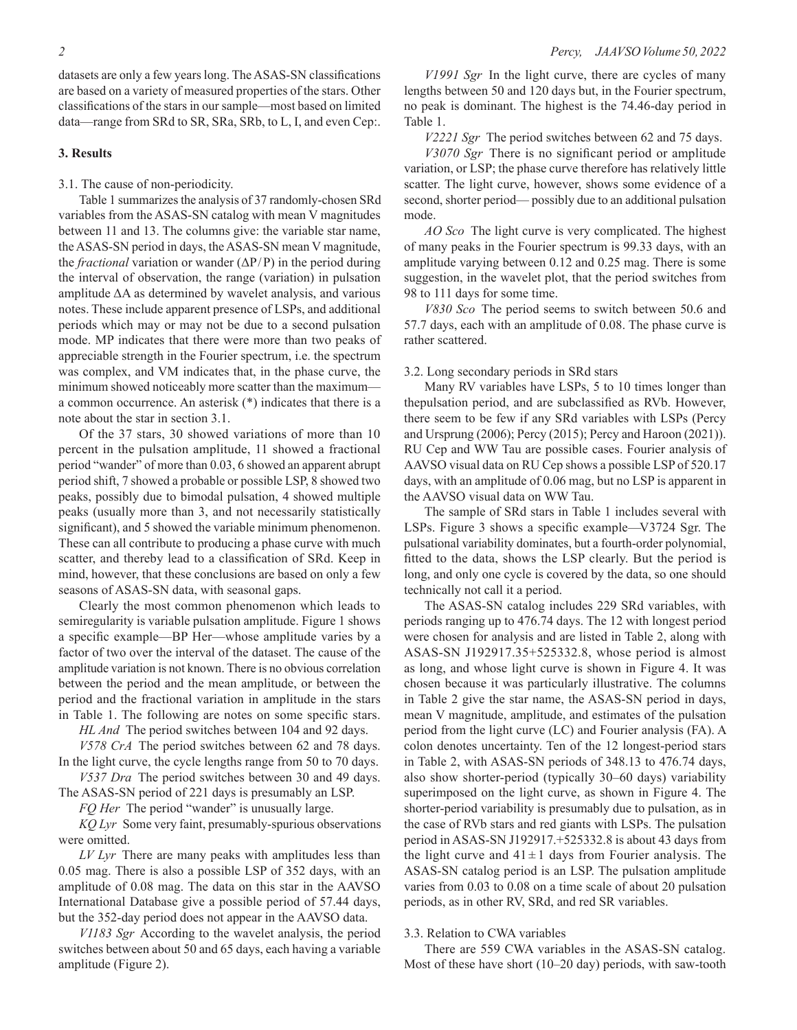datasets are only a few years long. The ASAS-SN classifications are based on a variety of measured properties of the stars. Other classifications of the stars in our sample—most based on limited data—range from SRd to SR, SRa, SRb, to L, I, and even Cep:. no peak is dominant. The highest is the 74.46-day period in Table 1.

### **3. Results**

3.1. The cause of non-periodicity.

Table 1 summarizes the analysis of 37 randomly-chosen SRd variables from the ASAS-SN catalog with mean V magnitudes between 11 and 13. The columns give: the variable star name, the ASAS-SN period in days, the ASAS-SN mean V magnitude, the *fractional* variation or wander (ΔP/P) in the period during the interval of observation, the range (variation) in pulsation amplitude ΔA as determined by wavelet analysis, and various notes. These include apparent presence of LSPs, and additional periods which may or may not be due to a second pulsation mode. MP indicates that there were more than two peaks of appreciable strength in the Fourier spectrum, i.e. the spectrum was complex, and VM indicates that, in the phase curve, the minimum showed noticeably more scatter than the maximum a common occurrence. An asterisk (\*) indicates that there is a note about the star in section 3.1.

Of the 37 stars, 30 showed variations of more than 10 percent in the pulsation amplitude, 11 showed a fractional period "wander" of more than 0.03, 6 showed an apparent abrupt period shift, 7 showed a probable or possible LSP, 8 showed two peaks, possibly due to bimodal pulsation, 4 showed multiple peaks (usually more than 3, and not necessarily statistically significant), and 5 showed the variable minimum phenomenon. These can all contribute to producing a phase curve with much scatter, and thereby lead to a classification of SRd. Keep in mind, however, that these conclusions are based on only a few seasons of ASAS-SN data, with seasonal gaps.

Clearly the most common phenomenon which leads to semiregularity is variable pulsation amplitude. Figure 1 shows a specific example—BP Her—whose amplitude varies by a factor of two over the interval of the dataset. The cause of the amplitude variation is not known. There is no obvious correlation between the period and the mean amplitude, or between the period and the fractional variation in amplitude in the stars in Table 1. The following are notes on some specific stars.

*HL And* The period switches between 104 and 92 days.

*V578 CrA* The period switches between 62 and 78 days. In the light curve, the cycle lengths range from 50 to 70 days.

*V537 Dra* The period switches between 30 and 49 days. The ASAS-SN period of 221 days is presumably an LSP.

*FQ Her* The period "wander" is unusually large.

*KQ Lyr* Some very faint, presumably-spurious observations were omitted.

*LV Lyr* There are many peaks with amplitudes less than 0.05 mag. There is also a possible LSP of 352 days, with an amplitude of 0.08 mag. The data on this star in the AAVSO International Database give a possible period of 57.44 days, but the 352-day period does not appear in the AAVSO data.

*V1183 Sgr* According to the wavelet analysis, the period switches between about 50 and 65 days, each having a variable amplitude (Figure 2).

*V1991 Sgr* In the light curve, there are cycles of many lengths between 50 and 120 days but, in the Fourier spectrum,

*V2221 Sgr* The period switches between 62 and 75 days.

*V3070 Sgr* There is no significant period or amplitude variation, or LSP; the phase curve therefore has relatively little scatter. The light curve, however, shows some evidence of a second, shorter period— possibly due to an additional pulsation mode.

*AO Sco* The light curve is very complicated. The highest of many peaks in the Fourier spectrum is 99.33 days, with an amplitude varying between 0.12 and 0.25 mag. There is some suggestion, in the wavelet plot, that the period switches from 98 to 111 days for some time.

*V830 Sco* The period seems to switch between 50.6 and 57.7 days, each with an amplitude of 0.08. The phase curve is rather scattered.

### 3.2. Long secondary periods in SRd stars

Many RV variables have LSPs, 5 to 10 times longer than thepulsation period, and are subclassified as RVb. However, there seem to be few if any SRd variables with LSPs (Percy and Ursprung (2006); Percy (2015); Percy and Haroon (2021)). RU Cep and WW Tau are possible cases. Fourier analysis of AAVSO visual data on RU Cep shows a possible LSP of 520.17 days, with an amplitude of 0.06 mag, but no LSP is apparent in the AAVSO visual data on WW Tau.

The sample of SRd stars in Table 1 includes several with LSPs. Figure 3 shows a specific example—V3724 Sgr. The pulsational variability dominates, but a fourth-order polynomial, fitted to the data, shows the LSP clearly. But the period is long, and only one cycle is covered by the data, so one should technically not call it a period.

The ASAS-SN catalog includes 229 SRd variables, with periods ranging up to 476.74 days. The 12 with longest period were chosen for analysis and are listed in Table 2, along with ASAS-SN J192917.35+525332.8, whose period is almost as long, and whose light curve is shown in Figure 4. It was chosen because it was particularly illustrative. The columns in Table 2 give the star name, the ASAS-SN period in days, mean V magnitude, amplitude, and estimates of the pulsation period from the light curve (LC) and Fourier analysis (FA). A colon denotes uncertainty. Ten of the 12 longest-period stars in Table 2, with ASAS-SN periods of 348.13 to 476.74 days, also show shorter-period (typically 30–60 days) variability superimposed on the light curve, as shown in Figure 4. The shorter-period variability is presumably due to pulsation, as in the case of RVb stars and red giants with LSPs. The pulsation period in ASAS-SN J192917.+525332.8 is about 43 days from the light curve and  $41 \pm 1$  days from Fourier analysis. The ASAS-SN catalog period is an LSP. The pulsation amplitude varies from 0.03 to 0.08 on a time scale of about 20 pulsation periods, as in other RV, SRd, and red SR variables.

#### 3.3. Relation to CWA variables

There are 559 CWA variables in the ASAS-SN catalog. Most of these have short (10–20 day) periods, with saw-tooth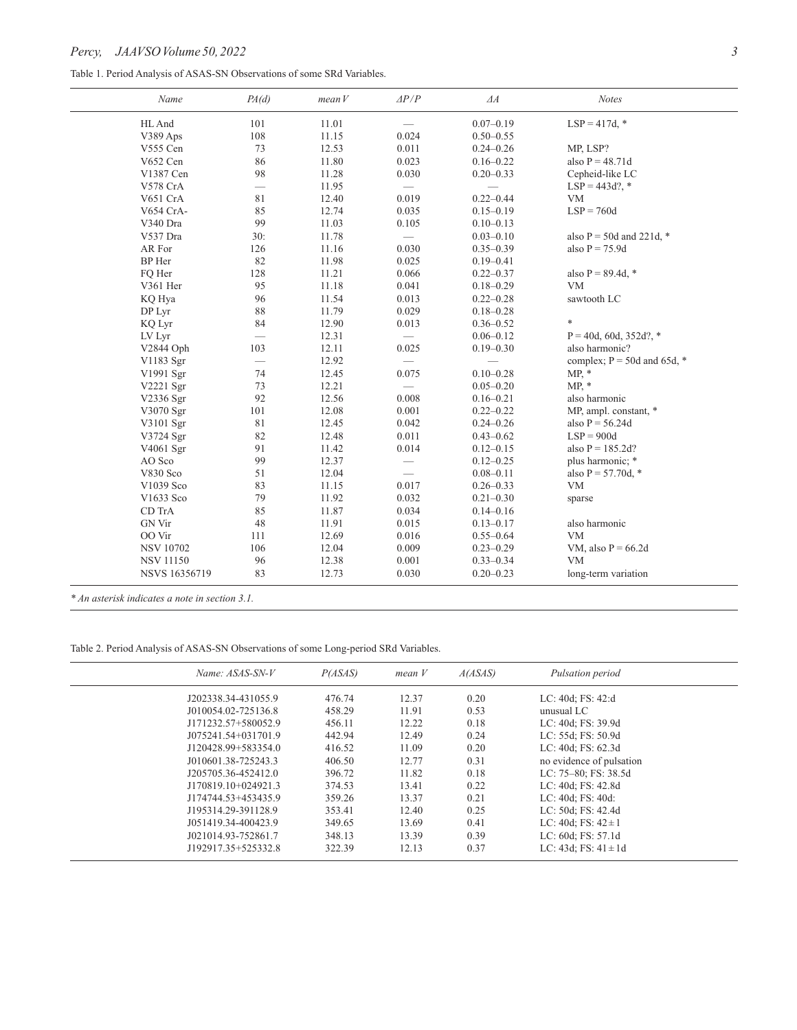## Percy, JAAVSO Volume 50, 2022

Table 1. Period Analysis of ASAS-SN Observations of some SRd Variables.

| Name                 | PA(d)                    | meanV | $\Delta P/P$             | $\varDelta A$            | <b>Notes</b>                    |
|----------------------|--------------------------|-------|--------------------------|--------------------------|---------------------------------|
| HL And               | 101                      | 11.01 |                          | $0.07 - 0.19$            | $LSP = 417d, *$                 |
| V389 Aps             | 108                      | 11.15 | 0.024                    | $0.50 - 0.55$            |                                 |
| V555 Cen             | 73                       | 12.53 | 0.011                    | $0.24 - 0.26$            | MP, LSP?                        |
| V652 Cen             | 86                       | 11.80 | 0.023                    | $0.16 - 0.22$            | also $P = 48.71d$               |
| V1387 Cen            | 98                       | 11.28 | 0.030                    | $0.20 - 0.33$            | Cepheid-like LC                 |
| <b>V578 CrA</b>      | $\overline{\phantom{0}}$ | 11.95 |                          |                          | $LSP = 443d$ ?, *               |
| V651 CrA             | 81                       | 12.40 | 0.019                    | $0.22 - 0.44$            | <b>VM</b>                       |
| V654 CrA-            | 85                       | 12.74 | 0.035                    | $0.15 - 0.19$            | $LSP = 760d$                    |
| V340 Dra             | 99                       | 11.03 | 0.105                    | $0.10 - 0.13$            |                                 |
| V537 Dra             | 30:                      | 11.78 |                          | $0.03 - 0.10$            | also $P = 50d$ and 221d, $*$    |
| AR For               | 126                      | 11.16 | 0.030                    | $0.35 - 0.39$            | also $P = 75.9d$                |
| BP Her               | 82                       | 11.98 | 0.025                    | $0.19 - 0.41$            |                                 |
| FQ Her               | 128                      | 11.21 | 0.066                    | $0.22 - 0.37$            | also $P = 89.4d$ , *            |
| V361 Her             | 95                       | 11.18 | 0.041                    | $0.18 - 0.29$            | <b>VM</b>                       |
| KQ Hya               | 96                       | 11.54 | 0.013                    | $0.22 - 0.28$            | sawtooth LC                     |
| DP Lyr               | 88                       | 11.79 | 0.029                    | $0.18 - 0.28$            |                                 |
| <b>KQ Lyr</b>        | 84                       | 12.90 | 0.013                    | $0.36 - 0.52$            | *                               |
| LV Lyr               | $\overline{\phantom{0}}$ | 12.31 | $\qquad \qquad -$        | $0.06 - 0.12$            | $P = 40d, 60d, 352d?$ , *       |
| V2844 Oph            | 103                      | 12.11 | 0.025                    | $0.19 - 0.30$            | also harmonic?                  |
| V1183 Sgr            |                          | 12.92 | $\overline{\phantom{0}}$ | $\overline{\phantom{0}}$ | complex; $P = 50d$ and 65d, $*$ |
| V1991 Sgr            | 74                       | 12.45 | 0.075                    | $0.10 - 0.28$            | $MP, *$                         |
| V2221 Sgr            | 73                       | 12.21 |                          | $0.05 - 0.20$            | $MP, *$                         |
| V2336 Sgr            | 92                       | 12.56 | 0.008                    | $0.16 - 0.21$            | also harmonic                   |
| V3070 Sgr            | 101                      | 12.08 | 0.001                    | $0.22 - 0.22$            | MP, ampl. constant, *           |
| V3101 Sgr            | 81                       | 12.45 | 0.042                    | $0.24 - 0.26$            | also $P = 56.24d$               |
| V3724 Sgr            | 82                       | 12.48 | 0.011                    | $0.43 - 0.62$            | $LSP = 900d$                    |
| V4061 Sgr            | 91                       | 11.42 | 0.014                    | $0.12 - 0.15$            | also $P = 185.2d?$              |
| AO Sco               | 99                       | 12.37 |                          | $0.12 - 0.25$            | plus harmonic; *                |
| V830 Sco             | 51                       | 12.04 |                          | $0.08 - 0.11$            | also $P = 57.70d$ , *           |
| V1039 Sco            | 83                       | 11.15 | 0.017                    | $0.26 - 0.33$            | <b>VM</b>                       |
| V1633 Sco            | 79                       | 11.92 | 0.032                    | $0.21 - 0.30$            | sparse                          |
| CD TrA               | 85                       | 11.87 | 0.034                    | $0.14 - 0.16$            |                                 |
| <b>GN Vir</b>        | 48                       | 11.91 | 0.015                    | $0.13 - 0.17$            | also harmonic                   |
| OO Vir               | 111                      | 12.69 | 0.016                    | $0.55 - 0.64$            | <b>VM</b>                       |
| <b>NSV 10702</b>     | 106                      | 12.04 | 0.009                    | $0.23 - 0.29$            | VM, also $P = 66.2d$            |
| <b>NSV 11150</b>     | 96                       | 12.38 | 0.001                    | $0.33 - 0.34$            | <b>VM</b>                       |
| <b>NSVS 16356719</b> | 83                       | 12.73 | 0.030                    | $0.20 - 0.23$            | long-term variation             |

\* An asterisk indicates a note in section 3.1.

| Table 2. Period Analysis of ASAS-SN Observations of some Long-period SRd Variables. |  |  |  |  |  |
|-------------------------------------------------------------------------------------|--|--|--|--|--|
|-------------------------------------------------------------------------------------|--|--|--|--|--|

| $Name: ASAS-SN-V$     | P(ASAS) | $mean$ $V$ | A(ASAS) | Pulsation period           |  |
|-----------------------|---------|------------|---------|----------------------------|--|
| J202338.34-431055.9   | 476.74  | 12.37      | 0.20    | LC: 40d: FS: 42:d          |  |
| 1010054.02-725136.8   | 458.29  | 11.91      | 0.53    | unusual $LC$               |  |
| J171232.57+580052.9   | 456.11  | 12.22      | 0.18    | LC: 40d: FS: 39.9d         |  |
| $J075241.54+031701.9$ | 442.94  | 12.49      | 0.24    | LC: 55d; FS: 50.9d         |  |
| J120428.99+583354.0   | 416.52  | 11.09      | 0.20    | LC: 40d; FS: 62.3d         |  |
| J010601.38-725243.3   | 406.50  | 12.77      | 0.31    | no evidence of pulsation   |  |
| J205705.36-452412.0   | 396.72  | 11.82      | 0.18    | LC: 75-80; FS: 38.5d       |  |
| $J170819.10+024921.3$ | 374.53  | 13.41      | 0.22    | LC: 40d; FS: 42.8d         |  |
| J174744.53+453435.9   | 359.26  | 13.37      | 0.21    | LC: 40d: FS: 40d:          |  |
| J195314.29-391128.9   | 353.41  | 12.40      | 0.25    | LC: 50d: FS: 42.4d         |  |
| J051419.34-400423.9   | 349.65  | 13.69      | 0.41    | LC: $40d$ ; FS: $42 \pm 1$ |  |
| 1021014.93-752861.7   | 348.13  | 13.39      | 0.39    | LC: 60d; FS: 57.1d         |  |
| J192917.35+525332.8   | 322.39  | 12.13      | 0.37    | LC: 43d; FS: $41 \pm 1d$   |  |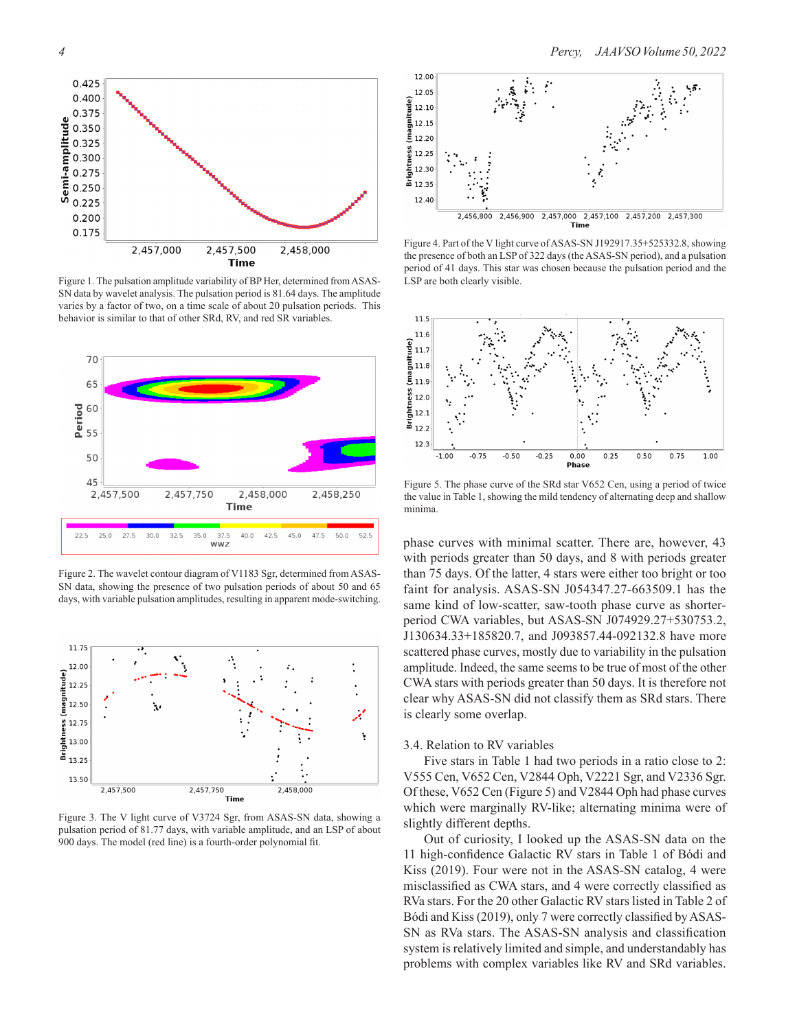

Figure 1. The pulsation amplitude variability of BP Her, determined from ASAS-SN data by wavelet analysis. The pulsation period is 81.64 days. The amplitude varies by a factor of two, on a time scale of about 20 pulsation periods. This behavior is similar to that of other SRd, RV, and red SR variables.



Figure 2. The wavelet contour diagram of V1183 Sgr, determined from ASAS-SN data, showing the presence of two pulsation periods of about 50 and 65 days, with variable pulsation amplitudes, resulting in apparent mode-switching.



Figure 3. The V light curve of V3724 Sgr, from ASAS-SN data, showing a pulsation period of 81.77 days, with variable amplitude, and an LSP of about 900 days. The model (red line) is a fourth-order polynomial fit.



Figure 4. Part of the V light curve of ASAS-SN J192917.35+525332.8, showing the presence of both an LSP of 322 days (the ASAS-SN period), and a pulsation period of 41 days. This star was chosen because the pulsation period and the LSP are both clearly visible.



Figure 5. The phase curve of the SRd star V652 Cen, using a period of twice the value in Table 1, showing the mild tendency of alternating deep and shallow minima.

phase curves with minimal scatter. There are, however, 43 with periods greater than 50 days, and 8 with periods greater than 75 days. Of the latter, 4 stars were either too bright or too faint for analysis. ASAS-SN J054347.27-663509.1 has the same kind of low-scatter, saw-tooth phase curve as shorterperiod CWA variables, but ASAS-SN J074929.27+530753.2, J130634.33+185820.7, and J093857.44-092132.8 have more scattered phase curves, mostly due to variability in the pulsation amplitude. Indeed, the same seems to be true of most of the other CWA stars with periods greater than 50 days. It is therefore not clear why ASAS-SN did not classify them as SRd stars. There is clearly some overlap.

### 3.4. Relation to RV variables

Five stars in Table 1 had two periods in a ratio close to 2: V555 Cen, V652 Cen, V2844 Oph, V2221 Sgr, and V2336 Sgr. Of these, V652 Cen (Figure 5) and V2844 Oph had phase curves which were marginally RV-like; alternating minima were of slightly different depths.

Out of curiosity, I looked up the ASAS-SN data on the 11 high-confidence Galactic RV stars in Table 1 of Bódi and Kiss (2019). Four were not in the ASAS-SN catalog, 4 were misclassified as CWA stars, and 4 were correctly classified as RVa stars. For the 20 other Galactic RV stars listed in Table 2 of Bódi and Kiss (2019), only 7 were correctly classified by ASAS-SN as RVa stars. The ASAS-SN analysis and classification system is relatively limited and simple, and understandably has problems with complex variables like RV and SRd variables.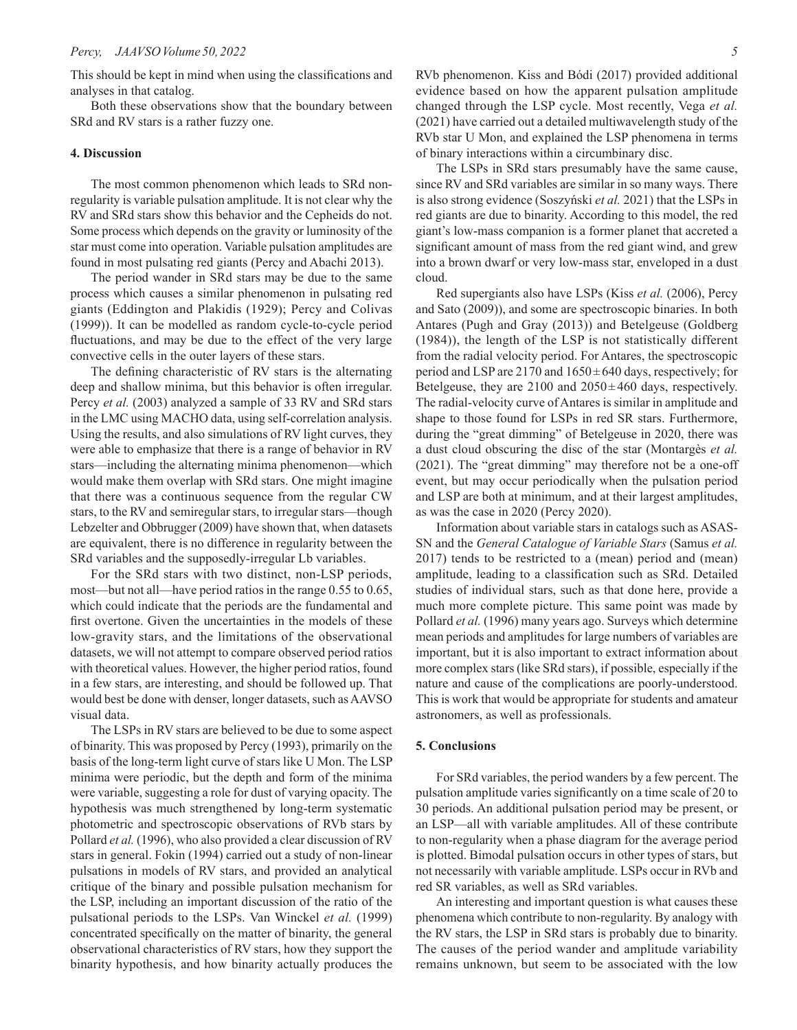This should be kept in mind when using the classifications and analyses in that catalog.

Both these observations show that the boundary between SRd and RV stars is a rather fuzzy one.

### **4. Discussion**

The most common phenomenon which leads to SRd nonregularity is variable pulsation amplitude. It is not clear why the RV and SRd stars show this behavior and the Cepheids do not. Some process which depends on the gravity or luminosity of the star must come into operation. Variable pulsation amplitudes are found in most pulsating red giants (Percy and Abachi 2013).

The period wander in SRd stars may be due to the same process which causes a similar phenomenon in pulsating red giants (Eddington and Plakidis (1929); Percy and Colivas (1999)). It can be modelled as random cycle-to-cycle period fluctuations, and may be due to the effect of the very large convective cells in the outer layers of these stars.

The defining characteristic of RV stars is the alternating deep and shallow minima, but this behavior is often irregular. Percy *et al.* (2003) analyzed a sample of 33 RV and SRd stars in the LMC using MACHO data, using self-correlation analysis. Using the results, and also simulations of RV light curves, they were able to emphasize that there is a range of behavior in RV stars—including the alternating minima phenomenon—which would make them overlap with SRd stars. One might imagine that there was a continuous sequence from the regular CW stars, to the RV and semiregular stars, to irregular stars—though Lebzelter and Obbrugger (2009) have shown that, when datasets are equivalent, there is no difference in regularity between the SRd variables and the supposedly-irregular Lb variables.

For the SRd stars with two distinct, non-LSP periods, most—but not all—have period ratios in the range 0.55 to 0.65, which could indicate that the periods are the fundamental and first overtone. Given the uncertainties in the models of these low-gravity stars, and the limitations of the observational datasets, we will not attempt to compare observed period ratios with theoretical values. However, the higher period ratios, found in a few stars, are interesting, and should be followed up. That would best be done with denser, longer datasets, such as AAVSO visual data.

The LSPs in RV stars are believed to be due to some aspect of binarity. This was proposed by Percy (1993), primarily on the basis of the long-term light curve of stars like U Mon. The LSP minima were periodic, but the depth and form of the minima were variable, suggesting a role for dust of varying opacity. The hypothesis was much strengthened by long-term systematic photometric and spectroscopic observations of RVb stars by Pollard *et al.* (1996), who also provided a clear discussion of RV stars in general. Fokin (1994) carried out a study of non-linear pulsations in models of RV stars, and provided an analytical critique of the binary and possible pulsation mechanism for the LSP, including an important discussion of the ratio of the pulsational periods to the LSPs. Van Winckel *et al.* (1999) concentrated specifically on the matter of binarity, the general observational characteristics of RV stars, how they support the binarity hypothesis, and how binarity actually produces the

RVb phenomenon. Kiss and Bódi (2017) provided additional evidence based on how the apparent pulsation amplitude changed through the LSP cycle. Most recently, Vega *et al.* (2021) have carried out a detailed multiwavelength study of the RVb star U Mon, and explained the LSP phenomena in terms of binary interactions within a circumbinary disc.

The LSPs in SRd stars presumably have the same cause, since RV and SRd variables are similar in so many ways. There is also strong evidence (Soszyński *et al.* 2021) that the LSPs in red giants are due to binarity. According to this model, the red giant's low-mass companion is a former planet that accreted a significant amount of mass from the red giant wind, and grew into a brown dwarf or very low-mass star, enveloped in a dust cloud.

Red supergiants also have LSPs (Kiss *et al.* (2006), Percy and Sato (2009)), and some are spectroscopic binaries. In both Antares (Pugh and Gray (2013)) and Betelgeuse (Goldberg (1984)), the length of the LSP is not statistically different from the radial velocity period. For Antares, the spectroscopic period and LSP are  $2170$  and  $1650 \pm 640$  days, respectively; for Betelgeuse, they are  $2100$  and  $2050\pm460$  days, respectively. The radial-velocity curve of Antares is similar in amplitude and shape to those found for LSPs in red SR stars. Furthermore, during the "great dimming" of Betelgeuse in 2020, there was a dust cloud obscuring the disc of the star (Montargès *et al.* (2021). The "great dimming" may therefore not be a one-off event, but may occur periodically when the pulsation period and LSP are both at minimum, and at their largest amplitudes, as was the case in 2020 (Percy 2020).

Information about variable stars in catalogs such as ASAS-SN and the *General Catalogue of Variable Stars* (Samus *et al.* 2017) tends to be restricted to a (mean) period and (mean) amplitude, leading to a classification such as SRd. Detailed studies of individual stars, such as that done here, provide a much more complete picture. This same point was made by Pollard *et al.* (1996) many years ago. Surveys which determine mean periods and amplitudes for large numbers of variables are important, but it is also important to extract information about more complex stars (like SRd stars), if possible, especially if the nature and cause of the complications are poorly-understood. This is work that would be appropriate for students and amateur astronomers, as well as professionals.

### **5. Conclusions**

For SRd variables, the period wanders by a few percent. The pulsation amplitude varies significantly on a time scale of 20 to 30 periods. An additional pulsation period may be present, or an LSP—all with variable amplitudes. All of these contribute to non-regularity when a phase diagram for the average period is plotted. Bimodal pulsation occurs in other types of stars, but not necessarily with variable amplitude. LSPs occur in RVb and red SR variables, as well as SRd variables.

An interesting and important question is what causes these phenomena which contribute to non-regularity. By analogy with the RV stars, the LSP in SRd stars is probably due to binarity. The causes of the period wander and amplitude variability remains unknown, but seem to be associated with the low